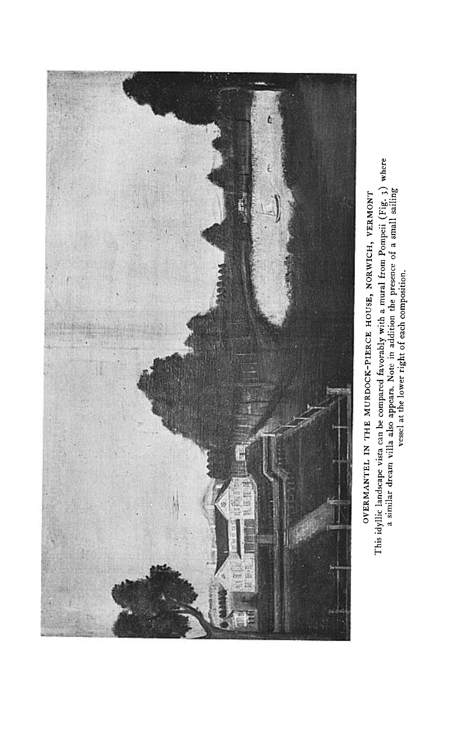

This idyllic landscape vista can be compared favorably with a mural from Pompeii  $(Fig, 3)$  where a similar dream villa also appears. Note in addition the presence of a small sailing vessel at the lower right of each compos OVERMANTEL IN THE MURDOCK-PIERCE HOUSE, NORWICH, VERMONT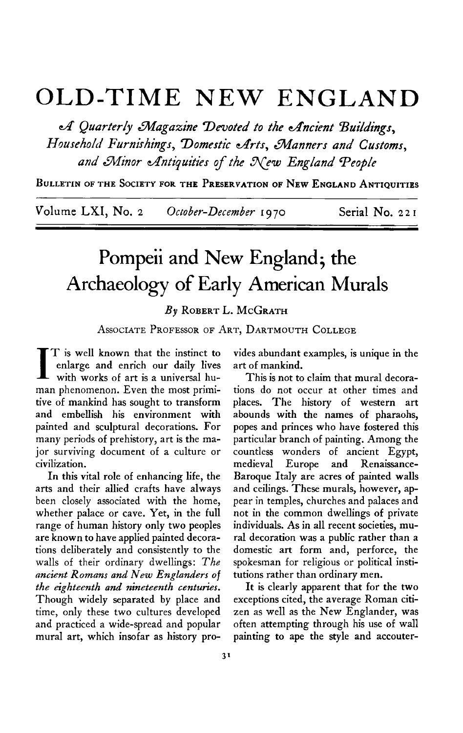## **OLD-TIME NEW ENGLAND**

**cff Quarterly &?agaxine Devoted to the Ancient %i/dngs,**  Household Furnishings, Domestic Arts, Manners and Customs, and Minor Antiquities of the New England People

**BULLETIN OF THE SOCIETY FOR THE PRESERVATION OF NEW ENGLAND ANTIQUITIES** 

**Volume LXI, No. 2 October-December I9 70 Serial No. 22 I** 

## Pompeii and New England; the **Archaeology of Early American Murals**

**By ROBERT L. MCGRATH** 

**ASSOCIATE PROFESSOR OF ART, DARTMOUTH COLLEGE** 

**I T is well known that the instinct to with works of art is a universal huenlarge and enrich our daily lives man phenomenon. Even the most primitive of mankind has sought to transform and embellish his environment with painted and sculptural decorations. For many periods of prehistory, art is the major surviving document of a culture or civilization.** 

**In this vital role of enhancing life, the arts and their allied crafts have always been closely associated with the home, whether palace or cave. Yet, in the full range of human history only two peoples are known to have applied painted decorations deliberately and consistently to the walls of their ordinary dwellings: The nncient Remans and New Englanders of the eighteenth and nineteenth centuries. Though widely separated by place and time, only these two cultures developed and practiced a wide-spread and popular mural art, which insofar as history pro-** **vides abundant examples, is unique in the art of mankind.** 

**This is not to claim that mural decorations do not occur at other times and places. The history of western art abounds with the names of pharaohs, popes and princes who have fostered this particular branch of painting. Among the countless wonders of ancient Egypt, medieval Europe and Renaissance-Baroque Italy are acres of painted walls and ceilings. These murals, however, appear in temples, churches and palaces and not in the common dwellings of private individuals. As in all recent societies, mural decoration was a public rather than a domestic art form and, perforce, the spokesman for religious or political institutions rather than ordinary men.** 

**It is clearly apparent that for the two exceptions cited, the average Roman citizen as well as the New Englander, was often attempting through his use of wall painting to ape the style and accouter-**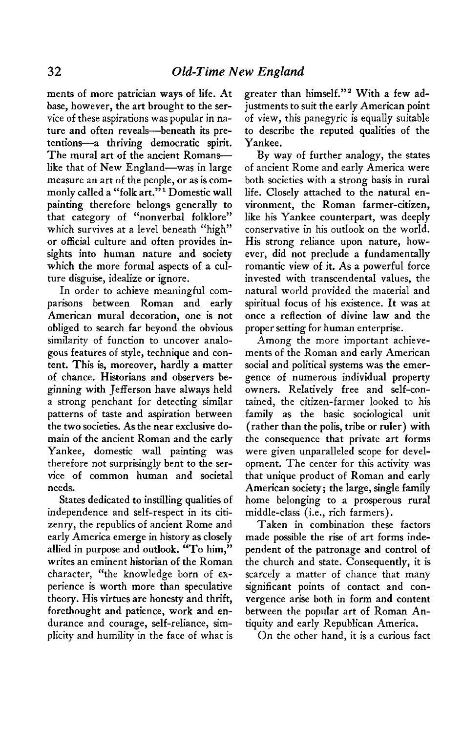**ments of more patrician ways of life. At base, however, the art brought to the service of these aspirations was popular in na**ture and often reveals-beneath its pre**tentions--a thriving democratic spirit.**  The mural art of the ancient Romans**like that of New England-was in large measure an art of the people, or as is com**monly called a "folk art."<sup>1</sup> Domestic wall **painting therefore belongs generally to that category of "nonverbal folklore" which survives at a level beneath "high" or official culture and often provides insights into human nature and society which the more formal aspects of a culture disguise, idealize or ignore.** 

**In order to achieve meaningful comparisons between Roman and early American mural decoration, one is not obliged to search far beyond the obvious similarity of function to uncover analogous features of style, technique and content. This is, moreover, hardly a matter of chance. Historians and observers beginning with Jefferson have always held a strong penchant for detecting similar patterns of taste and aspiration between the two societies. As the near exclusive domain of the ancient Roman and the early Yankee, domestic wall painting was therefore not surprisingly bent to the service of common human and societal needs.** 

**States dedicated to instilling qualities of independence and self-respect in its citizenry, the republics of ancient Rome and early America emerge in history as closely allied in purpose and outlook. "To him," writes an eminent historian of the Roman character, "the knowledge born of experience is worth more than speculative theory. His virtues are honesty and thrift, forethought and patience, work and endurance and courage, self-reliance, simplicity and humility in the face of what is** 

**greater than himself."' With a few adjustments to suit the early American point of view, this panegyric is equally suitable to describe the reputed qualities of the Yankee.** 

**By way of further analogy, the states of ancient Rome and early America were both societies with a strong basis in rural life. Closely attached to the natural environment, the Roman farmer-citizen, like his Yankee counterpart, was deeply conservative in his outlook on the world. His strong reliance upon nature, however, did not preclude a fundamentally romantic view of it. As a powerful force invested with transcendental values, the natural world provided the material and spiritual focus of his existence. It was at once a reflection of divine law and the proper setting for human enterprise.** 

**Among the more important achievements of the Roman and early American social and political systems was the emergence of numerous individual property owners. Relatively free and self-contained, the citizen-farmer looked to his family as the basic sociological unit (rather than the polis, tribe or ruler) with the consequence that private art forms were given unparalleled scope for development. The center for this activity was that unique product of Roman and early American society; the large, single family home belonging to a prosperous rural middle-class (i.e., rich farmers).** 

**Taken in combination these factors made possible the rise of art forms independent of the patronage and control of the church and state. Consequently, it is scarcely a matter of chance that many significant points of contact and convergence arise both in form and content between the popular art of Roman Antiquity and early Republican America.** 

**On the other hand, it is a curious fact**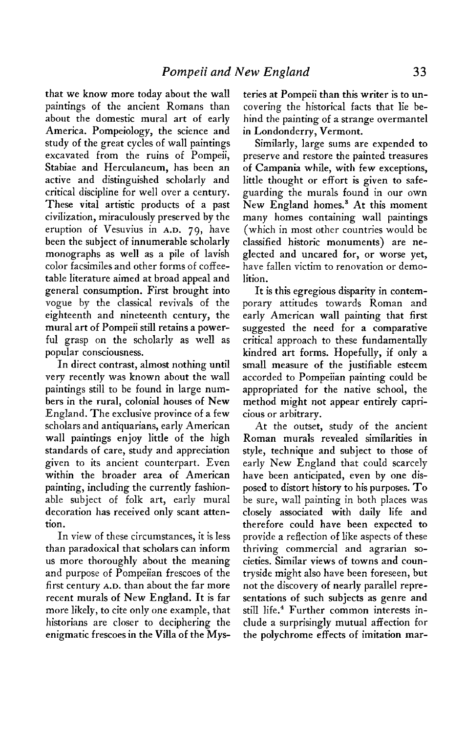**that we know more today about the wall paintings of the ancient Romans than about the domestic mural art of early America. Pompeiology, the science and study of the great cycles of wall paintings excavated from the ruins of Pompeii, Stabiae and Herculaneum, has been an active and distinguished scholarly and critical discipline for well over a century. These vital artistic products of a past civilization, miraculously preserved by the eruption of Vesuvius in A.D. 79, have been the subject of innumerable scholarly monographs as well as a pile of lavish color facsimiles and other forms of coffeetable literature aimed at broad appeal and general consumption. First brought into vogue by the classical revivals of the eighteenth and nineteenth century, the mural art of Pompeii still retains a powerful grasp on the scholarly as well as popular consciousness.** 

**In direct contrast, almost nothing until very recently was known about the wall paintings still to be found in large numbers in the rural, colonial houses of New England. The exclusive province of a few scholars and antiquarians, early American wall paintings enjoy little of the high standards of care, study and appreciation given to its ancient counterpart. Even within the broader area of American painting, including the currently fashionable subject of folk art, early mural decoration has received only scant attention.** 

**In view of these circumstances, it is less than paradoxical that scholars can inform us more thoroughly about the meaning and purpose of Pompeiian frescoes of the first century A.D. than about the far more recent murals of New England. It is far more likely, to cite only one example, that historians are closer to deciphering the enigmatic frescoes in the Villa of the Mys-**

**teries at Pompeii than this writer is to uncovering the historical facts that lie behind the painting of a strange overmantel in Londonderry, Vermont.** 

**Similarly, large sums are expended to preserve and restore the painted treasures of Campania while, with few exceptions, little thought or effort is given to safeguarding the murals found in our own New England homes.' At this moment many homes containing wall paintings (which in most other countries would be classified historic monuments) are neglected and uncared for, or worse yet, have fallen victim to renovation or demolition.** 

**It is this egregious disparity in contemporary attitudes towards Roman and early American wall painting that first suggested the need for a comparative critical approach to these fundamentally kindred art forms. Hopefully, if only a small measure of the justifiable esteem accorded to Pompeiian painting could be appropriated for the native school, the method might not appear entirely capricious or arbitrary.** 

**At the outset, study of the ancient Roman murals revealed similarities in style, technique and subject to those of early New England that could scarcely have been anticipated, even by one disposed to distort history to his purposes. To be sure, wall painting in both places was closely associated with daily life and therefore could have been expected to provide a reflection of like aspects of these thriving commercial and agrarian societies. Similar views of towns and countryside might also have been foreseen, but not the discovery of nearly parallel representations of such subjects as genre and still life.4 Further common interests include a surprisingly mutual affection for the polychrome effects of imitation mar-**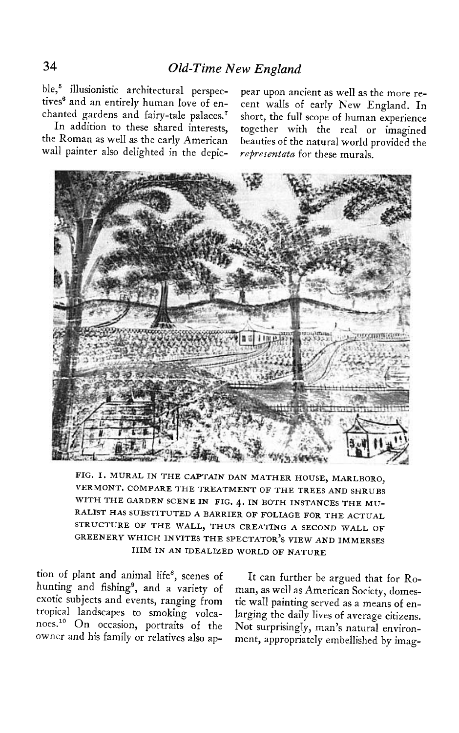ble,<sup>5</sup> illusionistic architectural perspec- pear upon ancient as well as the more re-

wall painter also delighted in the depic- representata for these murals.

**tives6 and an entirely human love of en- cent walls of early New England. In chanted gardens and fairy-tale palaces.' short, the full scope of human experience In addition to these shared interests, together with the real or imagined the Roman as well as the early American beauties of the natural world provided the** 



**FIG. I. MURAL IN THE CAPTAIN DAN MATHER HOUSE, MARLBORO, VERMONT. COMPARE THE TREATMENT OF THE TREES AND SHRUBS WITH THE GARDEN SCENE IN FIG. 4. IN BOTH INSTANCES THE MU-RALIST HAS SUBSTITUTED A BARRIER OF FOLIAGE FOR THE ACTUAL STRUCTURE OF THE WALL, THUS CREATING A SECOND WALL OF GREENERY WHICH INVITES THE SPECTATORS ' VIEW AND IMMERSES HIM IN AN IDEALIZED WORLD OF NATURE** 

**tion of plant and animal life\*, scenes of It can further be argued that for Rohunting and fishing', and a variety of man, as well as American Society, domesexotic subjects and events, ranging from tic wall painting served as a means of entropical landscapes to smoking volca- larging the daily lives of average citizens.**  noes.<sup>10</sup> On occasion, portraits of the Not surprisingly, man's natural environ-

**owner and his family or relatives also ap- ment, appropriately embellished by imag-**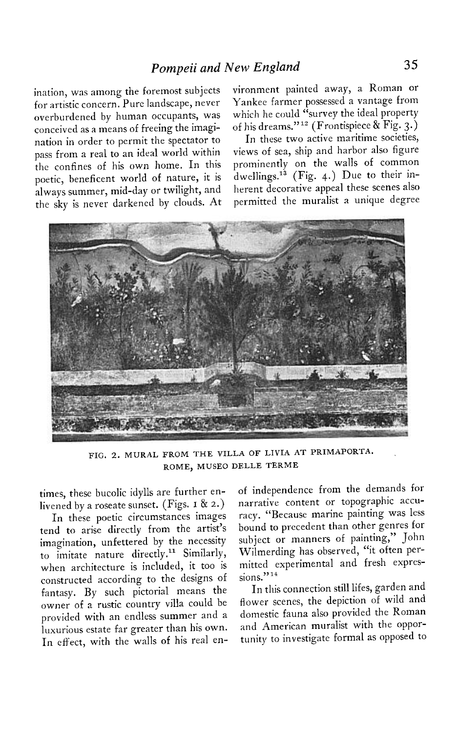**ination, was among the foremost subjects for artistic concern. Pure landscape, never overburdened by human occupants, was conceived as a means of freeing the imagination in order to permit the spectator to pass from a real to an ideal world within the confines of his own home. In this poetic, beneficent world of nature, it is always summer, mid-day or twilight, and the sky is never darkened by clouds. At** 

**vironment painted away, a Roman or Yankee farmer possessed a vantage from which he could "survey the ideal property of his dreams."l' (Frontispiece & Fig. 3.)** 

**In these two active maritime societies, views of sea, ship and harbor also figure prominently on the walls of common dwellings.13 (Fig. 4.) Due to their inherent decorative appeal these scenes also permitted the muralist a unique degree** 



**FIG. 2. MURAL FROM THE VILLA OF LIVIA AT PRIMAPORTA. ROME, MUSE0 DELLE TERME** 

**times, these bucolic idylls are further enlivened by a roseate sunset. (Figs. I & 2.)**  livened by a roseate sunset. (Figs. 1 & 2.)<br>In these poetic circumstances images

**tend to arise directly from the artist's imagination, unfettered by the necessity**  to imitate nature directly.<sup>11</sup> Similarly, **when architecture is included, it too is constructed according to the designs of fantasy. By such pictorial means the owner of a rustic country villa could be provided with an endless summer and a luxurious estate far greater than his own. In effect, with the walls of his real en-** **of independence from the demands for narrative content or topographic accuracy. "Because marine painting was less bound to precedent than other genres for subject or manners of painting," John Wilmerding has observed, "it often permitted experimental and fresh expressions."14** 

**In this connection still lifes, garden and flower scenes, the depiction of wild and domestic fauna also provided the Roman and American muralist with the opportunity to investigate formal as opposed to**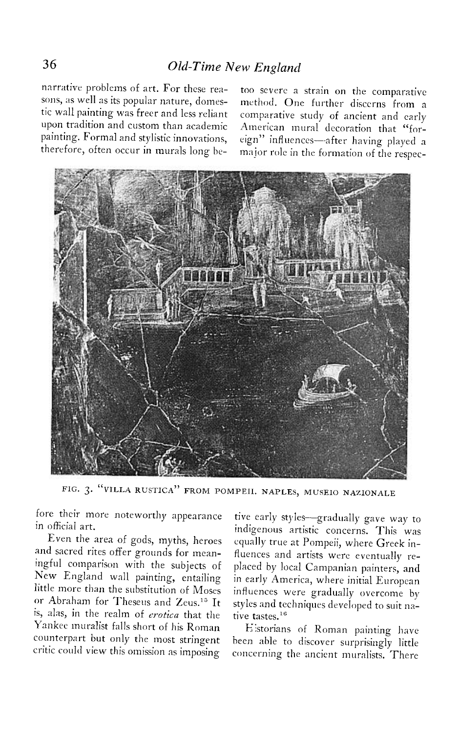**narrative problems of art. For these rea- too severe 3 strain on the comparative** 

**sons, as well as its popular nature, domes- method. One further discerns from a tic wall painting was freer and less reliant comparative study of ancient and early upon tradition and custom than academic American mural decoration that "for**painting. Formal and stylistic innovations, eign" influences—after having played a **therefore, often occur in murals long be- major role in the formation of the respec-**



**FIG. 3. "VILLA RUSTICA" FROM POMPEII. NAPLES, MUSE10 NAZIONALE** 

**fore their more noteworthy appearance in official art.** 

**Even the area of gods, myths, heroes and sacred rites offer grounds for meaningful comparison with the subjects of New England wall painting, entailing little more than the substitution of Moses or Abraham for Theseus and Zeus.'" It is, alas, in the realm of erotica that the Yankee muralist falls short of his Roman counterpart but only the most stringent critic could view this omission as imposing** 

**tive early styles-gradually gave way to indigenous artistic concerns. This was equally true at Pompeii, where Greek influences and artists were eventually replaced by local Campanian painters, and in early America, where initial European influences were gradually overcome by styles and techniques developed to suit na**tive tastes.<sup>16</sup>

**Llstorians of Roman painting have been able to discover surprisingly little concerning the ancient muralists. There**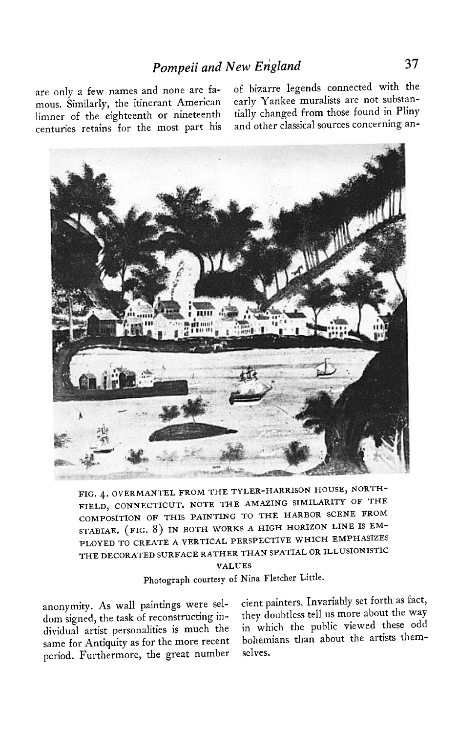mous. Similarly, the itinerant American early Yankee muralists are not substan**centuries retains for the most part his and other classical sources concerning an-**

**are only a few names and none are fa- of bizarre legends connected with the**  limner of the eighteenth or nineteenth tially changed from those found in Pliny



**FIG. 4. OVERMANTEL FROM THE TYLER-HARRISON HOUSE, NORTH-FIELD, CONNECTICUT. NOTE THE AMAZING SIMILARITY OF THE COMPOSITION OF THIS PAINTING TO THE HARBOR SCENE FROM**  STABIAE. (FIG. 8) IN BOTH WORKS A HIGH HORIZON LINE IS EM-**PLOYED TO CREATE A VERTICAL PERSPECTIVE WHICH EMPHASIZES THE DECORATED SURFACE RATHER THAN SPATIAL OR ILLUSIONISTIC** 

**VALUES** 

**Photograph courtesy of Nina Fletcher Little.** 

dom signed, the task of reconstructing in-<br>they doubtless tell us more about the way **dividual artist personalities is much the in which the public viewed these odd**  same for Antiquity as for the more recent bohemians than about the artists them**period. Furthermore, the great number selves,** 

**anonymity. As wall paintings were sel- cient painters. Invariably set forth as fact,**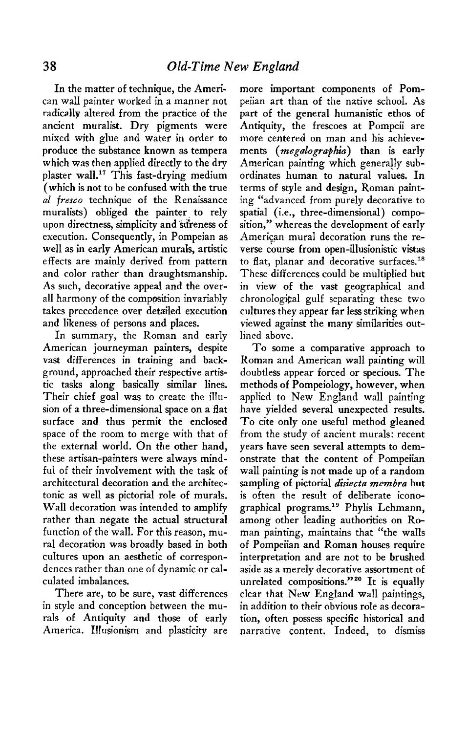**In the matter of technique, the American wall painter worked in a manner not radically altered from the practice of the ancient muralist. Dry pigments were mixed with glue and water in order to produce the substance known as tempera which was then applied directly to the dry**  plaster wall.<sup>17</sup> This fast-drying medium **(which is not to be confused with the true al fresco technique of the Renaissance**  muralists) obliged the painter to rely upon directness, simplicity and sureness of **execution. Consequently, in Pompeian as well as in early American murals, artistic effects are mainly derived from pattern and color rather than draughtsmanship. As such, decorative appeal and the overall harmony of the composition invariably takes precedence over detailed execution and likeness of persons and places.** 

**In summary, the Roman and early American journeyman painters, despite vast differences in training and background, approached their respective artistic tasks along basically similar lines. Their chief goal was to create the illusion of a three-dimensional space on a flat surface and thus permit the enclosed space of the room to merge with that of the external world. On the other hand, these artisan-painters were always mindful of their involvement with the task of architectural decoration and the architectonic as well as pictorial role of murals, Wall decoration was intended to amplify rather than negate the actual structural function of the wall. For this reason, mural decoration was broadly based in both cultures upon an aesthetic of correspondences rather than one of dynamic or calculated imbalances.** 

**There are, to be sure, vast differences in style and conception between the murals of Antiquity and those of early America. Illusionism and plasticity are**  **more important components of Pompeiian art than of the native school. As part of the general humanistic ethos of Antiquity, the frescoes at Pompeii are more centered on man and his achievements (megalogruphia) than is early American painting which generally subordinates human to natural values. In terms of style and design, Roman painting "advanced from purely decorative to**  spatial (i.e., three-dimensional) compo**sition," whereas the development of early Amerigan mural decoration runs the re**verse course from open-illusionistic vistas to flat, planar and decorative surfaces.<sup>18</sup> **These differences could be multiplied but in view of the vast geographical and chronolog\$al gulf separating these two cultures they appear far less striking when viewed against the many similarities outlined above.** 

**To some a comparative approach to Roman and American wall painting will doubtless appear forced or specious. The methods of Pompeiology, however, when applied to New England wall painting have yielded several unexpected results. To cite only one useful method gleaned from the study of ancient murals: recent years have seen several attempts to demonstrate that the content of Pompeiian wall painting is not made up of a random**  sampling of pictorial *disiecta membra* but **is often the result of deliberate icono**graphical programs.<sup>19</sup> Phylis Lehmann, **among other leading authorities on Roman painting, maintains that "the walls of Pompeiian and Roman houses require interpretation and are not to be brushed aside as a merely decorative assortment of unrelated compositions."20 It is equally clear that New England wall paintings, in addition to their obvious role as decoration, often possess specific historical and narrative content. Indeed, to dismiss**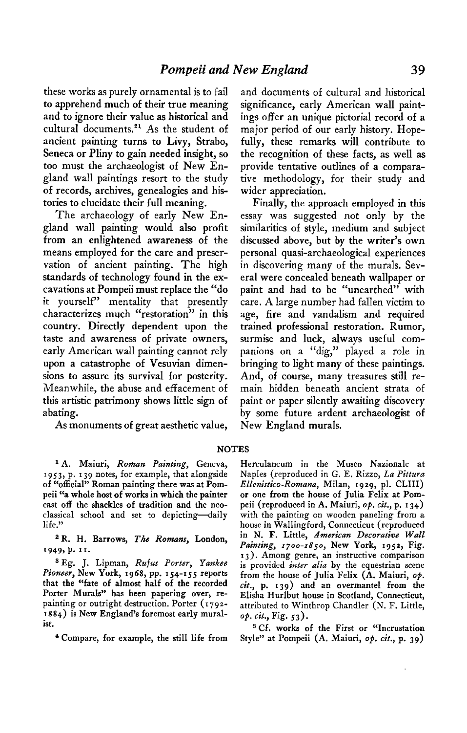**these works as purely ornamental is to fail to apprehend much of their true meaning and to ignore their value as historical and**  cultural documents.<sup>21</sup> As the student of **ancient painting turns to Livy, Strabo, Seneca or Pliny to gain needed insight, so too must the archaeologist of New England wall paintings resort to the study of records, archives, genealogies and histories to elucidate their full meaning.** 

**The archaeology of early New England wall painting would also profit from an enlightened awareness of the means employed for the care and preservation of ancient painting. The high standards of technology found in the excavations at Pompeii must replace the "do it yourself" mentality that presently characterizes much "restoration" in this country. Directly dependent upon the taste and awareness of private owners, early American wall painting cannot rely upon a catastrophe of Vesuvian dimensions to assure its survival for posterity. Meanwhile, the abuse and effacement of this artistic patrimony shows little sign of abating.** 

**As monuments of great aesthetic value,** 

**and documents of cultural and historical significance, early American wall paintings offer an unique pictorial record of a major period of our early history. Hopefully, these remarks will contribute to the recognition of these facts, as well as provide tentative outlines of a comparative methodology, for their study and wider appreciation.** 

**Finally, the approach employed in this essay was suggested not only by the similarities of style, medium and subject discussed above, but by the writer's own personal quasi-archaeological experiences in discovering many of the murals. Several were concealed beneath wallpaper or paint and had to be "unearthed" with care. A large number had fallen victim to age, fire and vandalism and required trained professional restoration. Rumor, surmise and luck, always useful companions on a "dig," played a role in bringing to light many of these paintings. And, of course, many treasures still remain hidden beneath ancient strata of paint or paper silently awaiting discovery by some future ardent archaeologist of New England murals.** 

## **NOTES**

**l A. Maiuri, Roman Painting, Geneva, I 953, p. I 39 notes, for example, that alongside of "official" Roman painting there was at Pompeii "a whole host of works in which the painter cast off the shackles of tradition and the neoclassical school and set to depicting-daily life."** 

**s R. H. Barrows, The Remans, London,**  1949, p. 11.

**3 Eg. J. Lipman, Rufus Porter, Yankee**  Pioneer, New York, 1968, pp. 154-155 reports **that the "fate of almost half of the recorded Porter Murals" has been papering over, repainting or outright destruction. Porter (I 792- I 8 84) is New England's foremost early muralist.** 

**4 Compare, for example, the still life from** 

**Herculaneum in the Museo Nazionale at Naples (reproduced in G. E. Rizzo, La Pittura**  Ellenistico-Romana, Milan, 1929, pl. CLIII) **or one from the house of Julia Felix at Pompeii (reproduced in A. Maiuri, op. cit., p. I 34) with the painting on wooden paneling from a house in Wallingford, Connecticut (reproduced in N. F. Little, American Decorative Wall Painting, 1700-1850, New York, 1952, Fig. 13). Among genre, an instructive comparison**  is provided *inter alia* by the equestrian scene **from the house of Julia Felix (A. Maiuri, op. czt., p. 139) and an overmantel from the Elisha Hurlbut house in Scotland, Connecticut, attributed to Winthrop Chandler (N. F. Little, op. cit., Fig. 53).** 

**5 Cf. works of the First or "Incrustation Style" at Pompeii (A. Maiuri, op. cit., p. 39)**